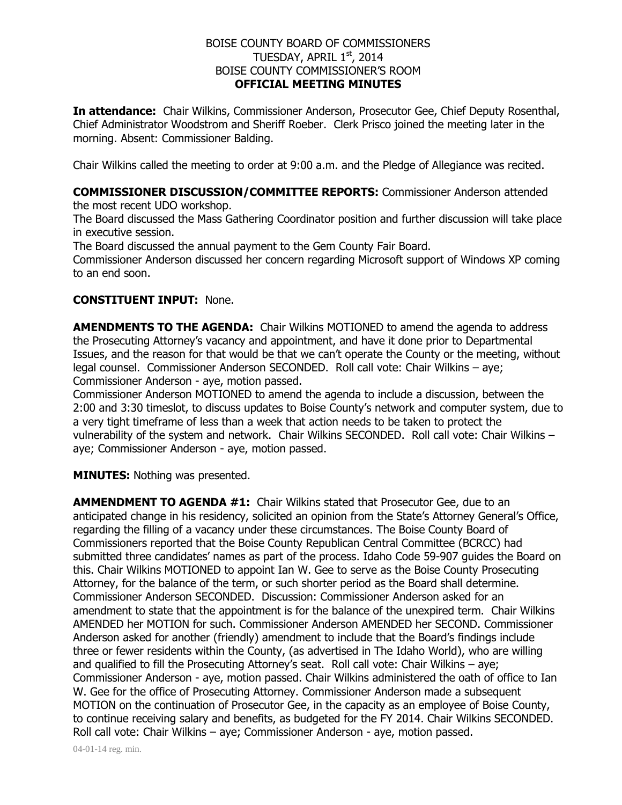## BOISE COUNTY BOARD OF COMMISSIONERS TUESDAY, APRIL 1st, 2014 BOISE COUNTY COMMISSIONER'S ROOM **OFFICIAL MEETING MINUTES**

**In attendance:** Chair Wilkins, Commissioner Anderson, Prosecutor Gee, Chief Deputy Rosenthal, Chief Administrator Woodstrom and Sheriff Roeber. Clerk Prisco joined the meeting later in the morning. Absent: Commissioner Balding.

Chair Wilkins called the meeting to order at 9:00 a.m. and the Pledge of Allegiance was recited.

# **COMMISSIONER DISCUSSION/COMMITTEE REPORTS:** Commissioner Anderson attended

the most recent UDO workshop.

The Board discussed the Mass Gathering Coordinator position and further discussion will take place in executive session.

The Board discussed the annual payment to the Gem County Fair Board.

Commissioner Anderson discussed her concern regarding Microsoft support of Windows XP coming to an end soon.

## **CONSTITUENT INPUT:** None.

**AMENDMENTS TO THE AGENDA:** Chair Wilkins MOTIONED to amend the agenda to address the Prosecuting Attorney's vacancy and appointment, and have it done prior to Departmental Issues, and the reason for that would be that we can't operate the County or the meeting, without legal counsel. Commissioner Anderson SECONDED. Roll call vote: Chair Wilkins – aye; Commissioner Anderson - aye, motion passed.

Commissioner Anderson MOTIONED to amend the agenda to include a discussion, between the 2:00 and 3:30 timeslot, to discuss updates to Boise County's network and computer system, due to a very tight timeframe of less than a week that action needs to be taken to protect the vulnerability of the system and network. Chair Wilkins SECONDED. Roll call vote: Chair Wilkins – aye; Commissioner Anderson - aye, motion passed.

**MINUTES:** Nothing was presented.

**AMMENDMENT TO AGENDA #1:** Chair Wilkins stated that Prosecutor Gee, due to an anticipated change in his residency, solicited an opinion from the State's Attorney General's Office, regarding the filling of a vacancy under these circumstances. The Boise County Board of Commissioners reported that the Boise County Republican Central Committee (BCRCC) had submitted three candidates' names as part of the process. Idaho Code 59-907 guides the Board on this. Chair Wilkins MOTIONED to appoint Ian W. Gee to serve as the Boise County Prosecuting Attorney, for the balance of the term, or such shorter period as the Board shall determine. Commissioner Anderson SECONDED. Discussion: Commissioner Anderson asked for an amendment to state that the appointment is for the balance of the unexpired term. Chair Wilkins AMENDED her MOTION for such. Commissioner Anderson AMENDED her SECOND. Commissioner Anderson asked for another (friendly) amendment to include that the Board's findings include three or fewer residents within the County, (as advertised in The Idaho World), who are willing and qualified to fill the Prosecuting Attorney's seat. Roll call vote: Chair Wilkins – aye; Commissioner Anderson - aye, motion passed. Chair Wilkins administered the oath of office to Ian W. Gee for the office of Prosecuting Attorney. Commissioner Anderson made a subsequent MOTION on the continuation of Prosecutor Gee, in the capacity as an employee of Boise County, to continue receiving salary and benefits, as budgeted for the FY 2014. Chair Wilkins SECONDED. Roll call vote: Chair Wilkins – aye; Commissioner Anderson - aye, motion passed.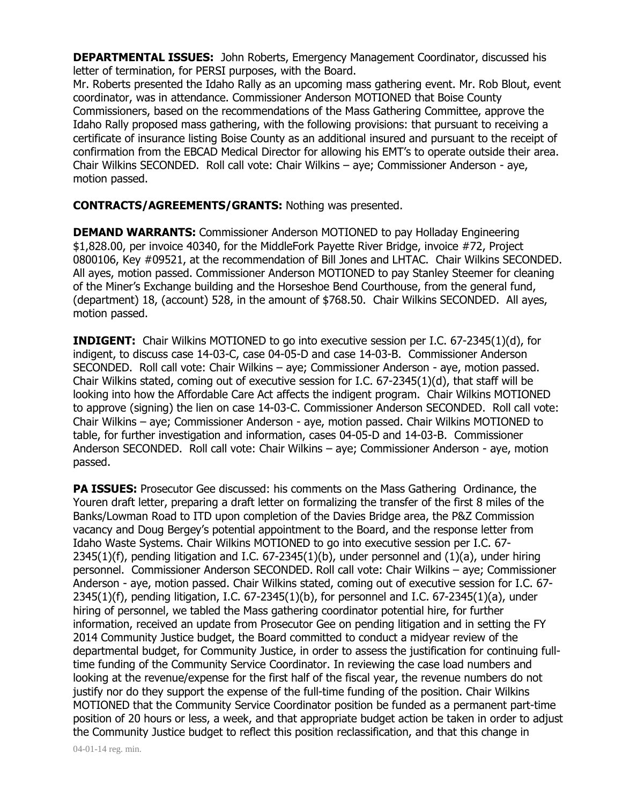**DEPARTMENTAL ISSUES:** John Roberts, Emergency Management Coordinator, discussed his letter of termination, for PERSI purposes, with the Board.

Mr. Roberts presented the Idaho Rally as an upcoming mass gathering event. Mr. Rob Blout, event coordinator, was in attendance. Commissioner Anderson MOTIONED that Boise County Commissioners, based on the recommendations of the Mass Gathering Committee, approve the Idaho Rally proposed mass gathering, with the following provisions: that pursuant to receiving a certificate of insurance listing Boise County as an additional insured and pursuant to the receipt of confirmation from the EBCAD Medical Director for allowing his EMT's to operate outside their area. Chair Wilkins SECONDED. Roll call vote: Chair Wilkins – aye; Commissioner Anderson - aye, motion passed.

## **CONTRACTS/AGREEMENTS/GRANTS:** Nothing was presented.

**DEMAND WARRANTS:** Commissioner Anderson MOTIONED to pay Holladay Engineering \$1,828.00, per invoice 40340, for the MiddleFork Payette River Bridge, invoice #72, Project 0800106, Key #09521, at the recommendation of Bill Jones and LHTAC. Chair Wilkins SECONDED. All ayes, motion passed. Commissioner Anderson MOTIONED to pay Stanley Steemer for cleaning of the Miner's Exchange building and the Horseshoe Bend Courthouse, from the general fund, (department) 18, (account) 528, in the amount of \$768.50. Chair Wilkins SECONDED. All ayes, motion passed.

**INDIGENT:** Chair Wilkins MOTIONED to go into executive session per I.C. 67-2345(1)(d), for indigent, to discuss case 14-03-C, case 04-05-D and case 14-03-B. Commissioner Anderson SECONDED. Roll call vote: Chair Wilkins – aye; Commissioner Anderson - aye, motion passed. Chair Wilkins stated, coming out of executive session for I.C. 67-2345(1)(d), that staff will be looking into how the Affordable Care Act affects the indigent program. Chair Wilkins MOTIONED to approve (signing) the lien on case 14-03-C. Commissioner Anderson SECONDED. Roll call vote: Chair Wilkins – aye; Commissioner Anderson - aye, motion passed. Chair Wilkins MOTIONED to table, for further investigation and information, cases 04-05-D and 14-03-B. Commissioner Anderson SECONDED. Roll call vote: Chair Wilkins – aye; Commissioner Anderson - aye, motion passed.

**PA ISSUES:** Prosecutor Gee discussed: his comments on the Mass Gathering Ordinance, the Youren draft letter, preparing a draft letter on formalizing the transfer of the first 8 miles of the Banks/Lowman Road to ITD upon completion of the Davies Bridge area, the P&Z Commission vacancy and Doug Bergey's potential appointment to the Board, and the response letter from Idaho Waste Systems. Chair Wilkins MOTIONED to go into executive session per I.C. 67- 2345(1)(f), pending litigation and I.C. 67-2345(1)(b), under personnel and (1)(a), under hiring personnel. Commissioner Anderson SECONDED. Roll call vote: Chair Wilkins – aye; Commissioner Anderson - aye, motion passed. Chair Wilkins stated, coming out of executive session for I.C. 67- 2345(1)(f), pending litigation, I.C. 67-2345(1)(b), for personnel and I.C. 67-2345(1)(a), under hiring of personnel, we tabled the Mass gathering coordinator potential hire, for further information, received an update from Prosecutor Gee on pending litigation and in setting the FY 2014 Community Justice budget, the Board committed to conduct a midyear review of the departmental budget, for Community Justice, in order to assess the justification for continuing fulltime funding of the Community Service Coordinator. In reviewing the case load numbers and looking at the revenue/expense for the first half of the fiscal year, the revenue numbers do not justify nor do they support the expense of the full-time funding of the position. Chair Wilkins MOTIONED that the Community Service Coordinator position be funded as a permanent part-time position of 20 hours or less, a week, and that appropriate budget action be taken in order to adjust the Community Justice budget to reflect this position reclassification, and that this change in